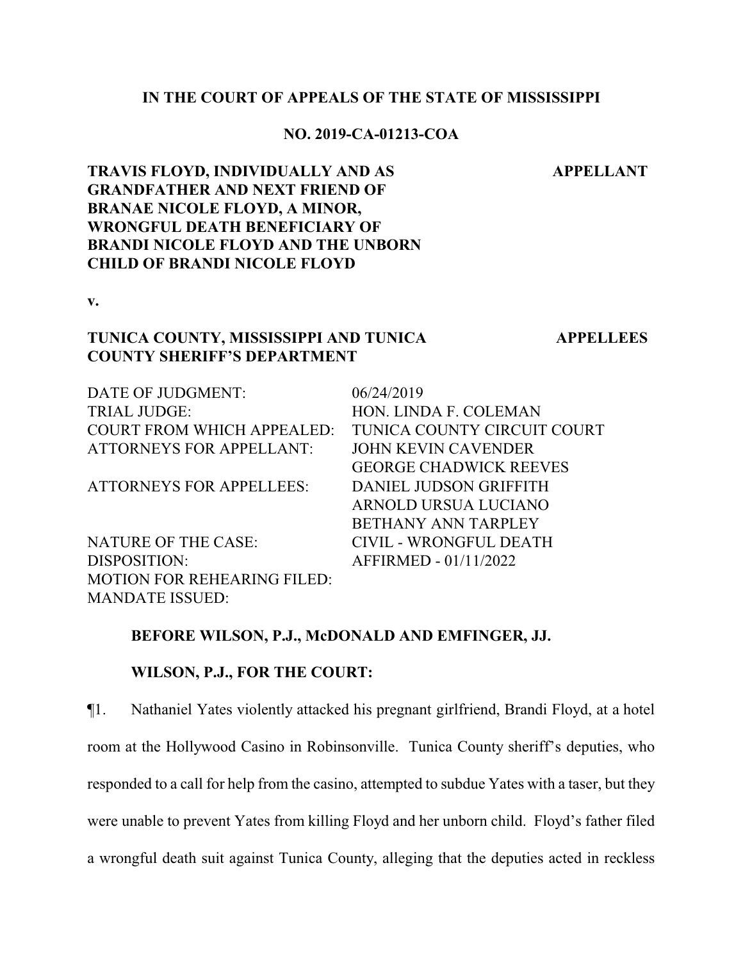### **IN THE COURT OF APPEALS OF THE STATE OF MISSISSIPPI**

### **NO. 2019-CA-01213-COA**

**APPELLANT**

**TRAVIS FLOYD, INDIVIDUALLY AND AS GRANDFATHER AND NEXT FRIEND OF BRANAE NICOLE FLOYD, A MINOR, WRONGFUL DEATH BENEFICIARY OF BRANDI NICOLE FLOYD AND THE UNBORN CHILD OF BRANDI NICOLE FLOYD**

**v.**

### **TUNICA COUNTY, MISSISSIPPI AND TUNICA COUNTY SHERIFF'S DEPARTMENT**

**APPELLEES**

| DATE OF JUDGMENT:                  | 06/24/2019                    |
|------------------------------------|-------------------------------|
| <b>TRIAL JUDGE:</b>                | HON. LINDA F. COLEMAN         |
| <b>COURT FROM WHICH APPEALED:</b>  | TUNICA COUNTY CIRCUIT COURT   |
| <b>ATTORNEYS FOR APPELLANT:</b>    | <b>JOHN KEVIN CAVENDER</b>    |
|                                    | <b>GEORGE CHADWICK REEVES</b> |
| <b>ATTORNEYS FOR APPELLEES:</b>    | DANIEL JUDSON GRIFFITH        |
|                                    | ARNOLD URSUA LUCIANO          |
|                                    | <b>BETHANY ANN TARPLEY</b>    |
| <b>NATURE OF THE CASE:</b>         | CIVIL - WRONGFUL DEATH        |
| DISPOSITION:                       | AFFIRMED - 01/11/2022         |
| <b>MOTION FOR REHEARING FILED:</b> |                               |
| <b>MANDATE ISSUED:</b>             |                               |

#### **BEFORE WILSON, P.J., McDONALD AND EMFINGER, JJ.**

# **WILSON, P.J., FOR THE COURT:**

¶1. Nathaniel Yates violently attacked his pregnant girlfriend, Brandi Floyd, at a hotel room at the Hollywood Casino in Robinsonville. Tunica County sheriff's deputies, who responded to a call for help from the casino, attempted to subdue Yates with a taser, but they were unable to prevent Yates from killing Floyd and her unborn child. Floyd's father filed a wrongful death suit against Tunica County, alleging that the deputies acted in reckless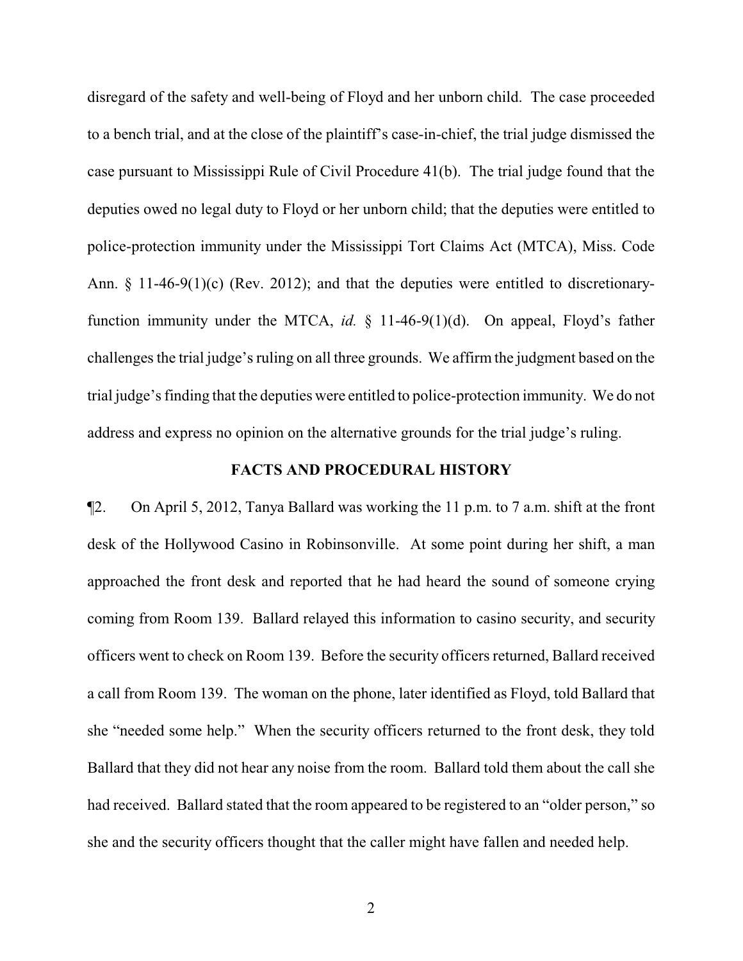disregard of the safety and well-being of Floyd and her unborn child. The case proceeded to a bench trial, and at the close of the plaintiff's case-in-chief, the trial judge dismissed the case pursuant to Mississippi Rule of Civil Procedure 41(b). The trial judge found that the deputies owed no legal duty to Floyd or her unborn child; that the deputies were entitled to police-protection immunity under the Mississippi Tort Claims Act (MTCA), Miss. Code Ann. § 11-46-9(1)(c) (Rev. 2012); and that the deputies were entitled to discretionaryfunction immunity under the MTCA, *id.* § 11-46-9(1)(d). On appeal, Floyd's father challenges the trial judge's ruling on all three grounds. We affirm the judgment based on the trial judge's finding that the deputies were entitled to police-protection immunity. We do not address and express no opinion on the alternative grounds for the trial judge's ruling.

### **FACTS AND PROCEDURAL HISTORY**

¶2. On April 5, 2012, Tanya Ballard was working the 11 p.m. to 7 a.m. shift at the front desk of the Hollywood Casino in Robinsonville. At some point during her shift, a man approached the front desk and reported that he had heard the sound of someone crying coming from Room 139. Ballard relayed this information to casino security, and security officers went to check on Room 139. Before the security officers returned, Ballard received a call from Room 139. The woman on the phone, later identified as Floyd, told Ballard that she "needed some help." When the security officers returned to the front desk, they told Ballard that they did not hear any noise from the room. Ballard told them about the call she had received. Ballard stated that the room appeared to be registered to an "older person," so she and the security officers thought that the caller might have fallen and needed help.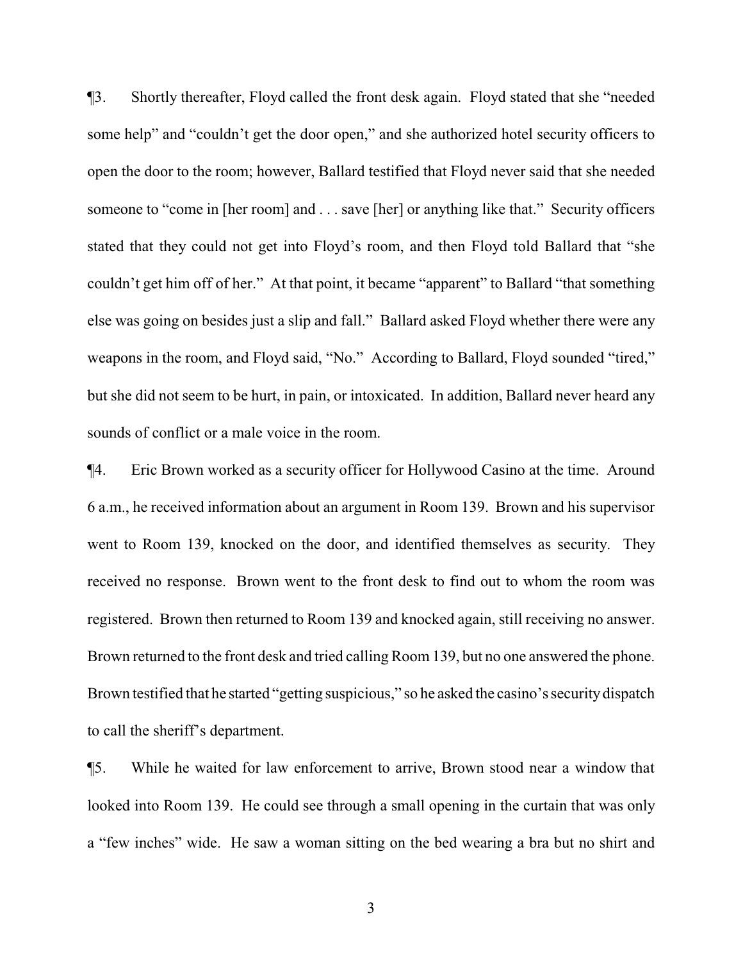¶3. Shortly thereafter, Floyd called the front desk again. Floyd stated that she "needed some help" and "couldn't get the door open," and she authorized hotel security officers to open the door to the room; however, Ballard testified that Floyd never said that she needed someone to "come in [her room] and . . . save [her] or anything like that." Security officers stated that they could not get into Floyd's room, and then Floyd told Ballard that "she couldn't get him off of her." At that point, it became "apparent" to Ballard "that something else was going on besides just a slip and fall." Ballard asked Floyd whether there were any weapons in the room, and Floyd said, "No." According to Ballard, Floyd sounded "tired," but she did not seem to be hurt, in pain, or intoxicated. In addition, Ballard never heard any sounds of conflict or a male voice in the room.

¶4. Eric Brown worked as a security officer for Hollywood Casino at the time. Around 6 a.m., he received information about an argument in Room 139. Brown and his supervisor went to Room 139, knocked on the door, and identified themselves as security. They received no response. Brown went to the front desk to find out to whom the room was registered. Brown then returned to Room 139 and knocked again, still receiving no answer. Brown returned to the front desk and tried calling Room 139, but no one answered the phone. Brown testified that he started "getting suspicious," so he asked the casino's securitydispatch to call the sheriff's department.

¶5. While he waited for law enforcement to arrive, Brown stood near a window that looked into Room 139. He could see through a small opening in the curtain that was only a "few inches" wide. He saw a woman sitting on the bed wearing a bra but no shirt and

3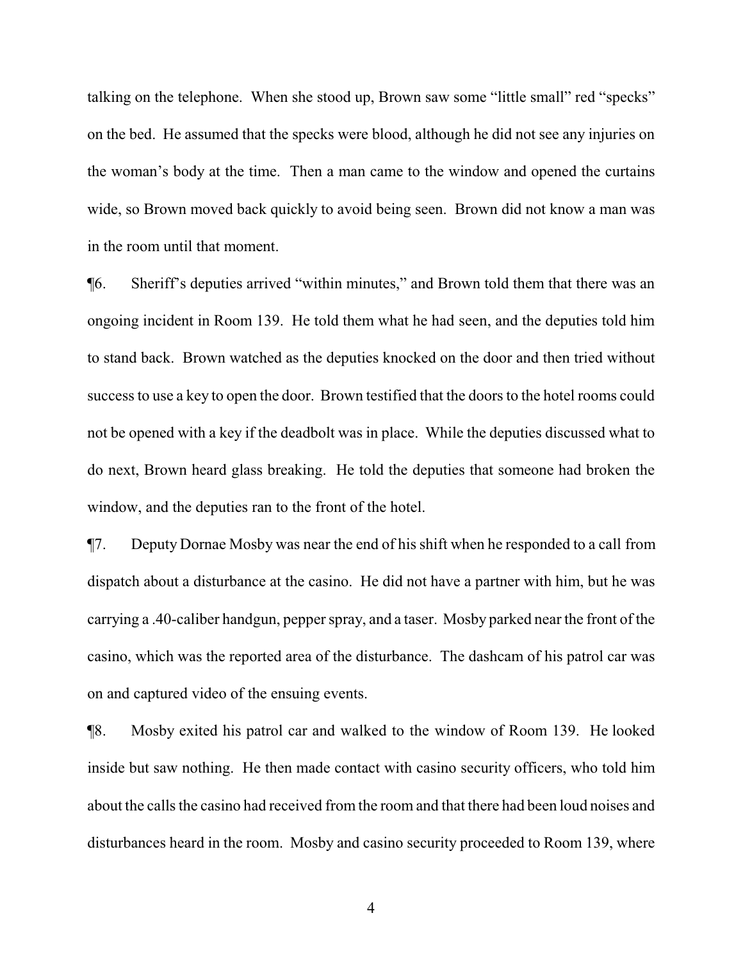talking on the telephone. When she stood up, Brown saw some "little small" red "specks" on the bed. He assumed that the specks were blood, although he did not see any injuries on the woman's body at the time. Then a man came to the window and opened the curtains wide, so Brown moved back quickly to avoid being seen. Brown did not know a man was in the room until that moment.

¶6. Sheriff's deputies arrived "within minutes," and Brown told them that there was an ongoing incident in Room 139. He told them what he had seen, and the deputies told him to stand back. Brown watched as the deputies knocked on the door and then tried without success to use a key to open the door. Brown testified that the doors to the hotel rooms could not be opened with a key if the deadbolt was in place. While the deputies discussed what to do next, Brown heard glass breaking. He told the deputies that someone had broken the window, and the deputies ran to the front of the hotel.

¶7. Deputy Dornae Mosby was near the end of his shift when he responded to a call from dispatch about a disturbance at the casino. He did not have a partner with him, but he was carrying a .40-caliber handgun, pepper spray, and a taser. Mosby parked near the front of the casino, which was the reported area of the disturbance. The dashcam of his patrol car was on and captured video of the ensuing events.

¶8. Mosby exited his patrol car and walked to the window of Room 139. He looked inside but saw nothing. He then made contact with casino security officers, who told him about the calls the casino had received from the room and that there had been loud noises and disturbances heard in the room. Mosby and casino security proceeded to Room 139, where

4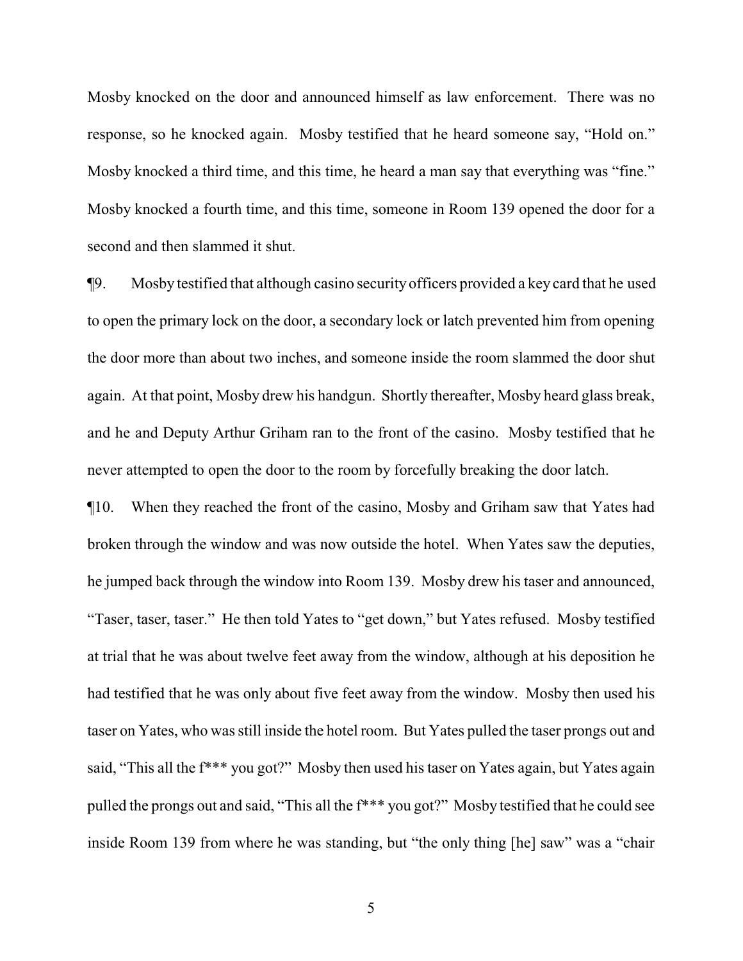Mosby knocked on the door and announced himself as law enforcement. There was no response, so he knocked again. Mosby testified that he heard someone say, "Hold on." Mosby knocked a third time, and this time, he heard a man say that everything was "fine." Mosby knocked a fourth time, and this time, someone in Room 139 opened the door for a second and then slammed it shut.

¶9. Mosby testified that although casino security officers provided a key card that he used to open the primary lock on the door, a secondary lock or latch prevented him from opening the door more than about two inches, and someone inside the room slammed the door shut again. At that point, Mosby drew his handgun. Shortly thereafter, Mosby heard glass break, and he and Deputy Arthur Griham ran to the front of the casino. Mosby testified that he never attempted to open the door to the room by forcefully breaking the door latch.

¶10. When they reached the front of the casino, Mosby and Griham saw that Yates had broken through the window and was now outside the hotel. When Yates saw the deputies, he jumped back through the window into Room 139. Mosby drew his taser and announced, "Taser, taser, taser." He then told Yates to "get down," but Yates refused. Mosby testified at trial that he was about twelve feet away from the window, although at his deposition he had testified that he was only about five feet away from the window. Mosby then used his taser on Yates, who was still inside the hotel room. But Yates pulled the taser prongs out and said, "This all the  $f***$  you got?" Mosby then used his taser on Yates again, but Yates again pulled the prongs out and said, "This all the f\*\*\* you got?" Mosby testified that he could see inside Room 139 from where he was standing, but "the only thing [he] saw" was a "chair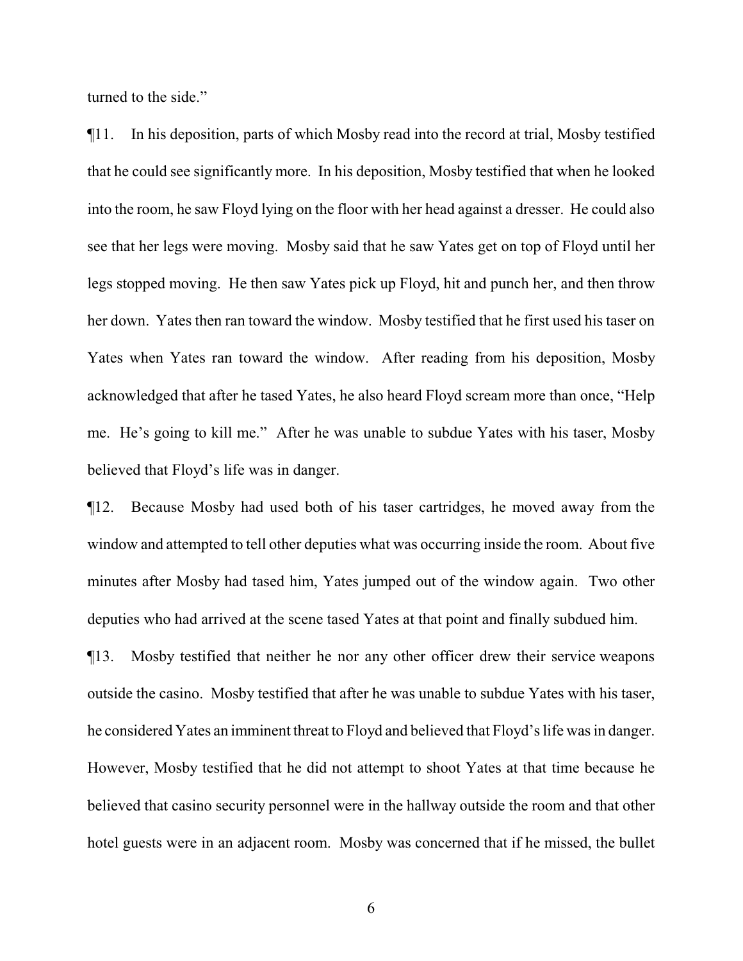turned to the side."

¶11. In his deposition, parts of which Mosby read into the record at trial, Mosby testified that he could see significantly more. In his deposition, Mosby testified that when he looked into the room, he saw Floyd lying on the floor with her head against a dresser. He could also see that her legs were moving. Mosby said that he saw Yates get on top of Floyd until her legs stopped moving. He then saw Yates pick up Floyd, hit and punch her, and then throw her down. Yates then ran toward the window. Mosby testified that he first used his taser on Yates when Yates ran toward the window. After reading from his deposition, Mosby acknowledged that after he tased Yates, he also heard Floyd scream more than once, "Help me. He's going to kill me." After he was unable to subdue Yates with his taser, Mosby believed that Floyd's life was in danger.

¶12. Because Mosby had used both of his taser cartridges, he moved away from the window and attempted to tell other deputies what was occurring inside the room. About five minutes after Mosby had tased him, Yates jumped out of the window again. Two other deputies who had arrived at the scene tased Yates at that point and finally subdued him.

¶13. Mosby testified that neither he nor any other officer drew their service weapons outside the casino. Mosby testified that after he was unable to subdue Yates with his taser, he considered Yates an imminent threat to Floyd and believed that Floyd's life was in danger. However, Mosby testified that he did not attempt to shoot Yates at that time because he believed that casino security personnel were in the hallway outside the room and that other hotel guests were in an adjacent room. Mosby was concerned that if he missed, the bullet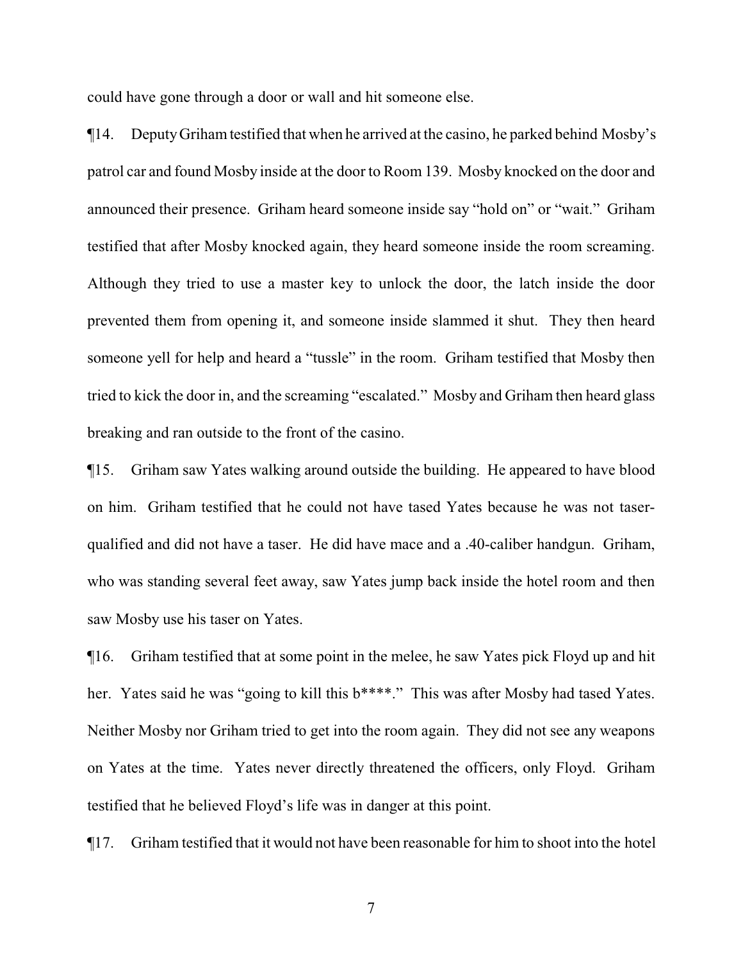could have gone through a door or wall and hit someone else.

¶14. DeputyGrihamtestified that when he arrived at the casino, he parked behind Mosby's patrol car and found Mosby inside at the door to Room 139. Mosby knocked on the door and announced their presence. Griham heard someone inside say "hold on" or "wait." Griham testified that after Mosby knocked again, they heard someone inside the room screaming. Although they tried to use a master key to unlock the door, the latch inside the door prevented them from opening it, and someone inside slammed it shut. They then heard someone yell for help and heard a "tussle" in the room. Griham testified that Mosby then tried to kick the door in, and the screaming "escalated." Mosby and Griham then heard glass breaking and ran outside to the front of the casino.

¶15. Griham saw Yates walking around outside the building. He appeared to have blood on him. Griham testified that he could not have tased Yates because he was not taserqualified and did not have a taser. He did have mace and a .40-caliber handgun. Griham, who was standing several feet away, saw Yates jump back inside the hotel room and then saw Mosby use his taser on Yates.

¶16. Griham testified that at some point in the melee, he saw Yates pick Floyd up and hit her. Yates said he was "going to kill this b\*\*\*\*." This was after Mosby had tased Yates. Neither Mosby nor Griham tried to get into the room again. They did not see any weapons on Yates at the time. Yates never directly threatened the officers, only Floyd. Griham testified that he believed Floyd's life was in danger at this point.

¶17. Griham testified that it would not have been reasonable for him to shoot into the hotel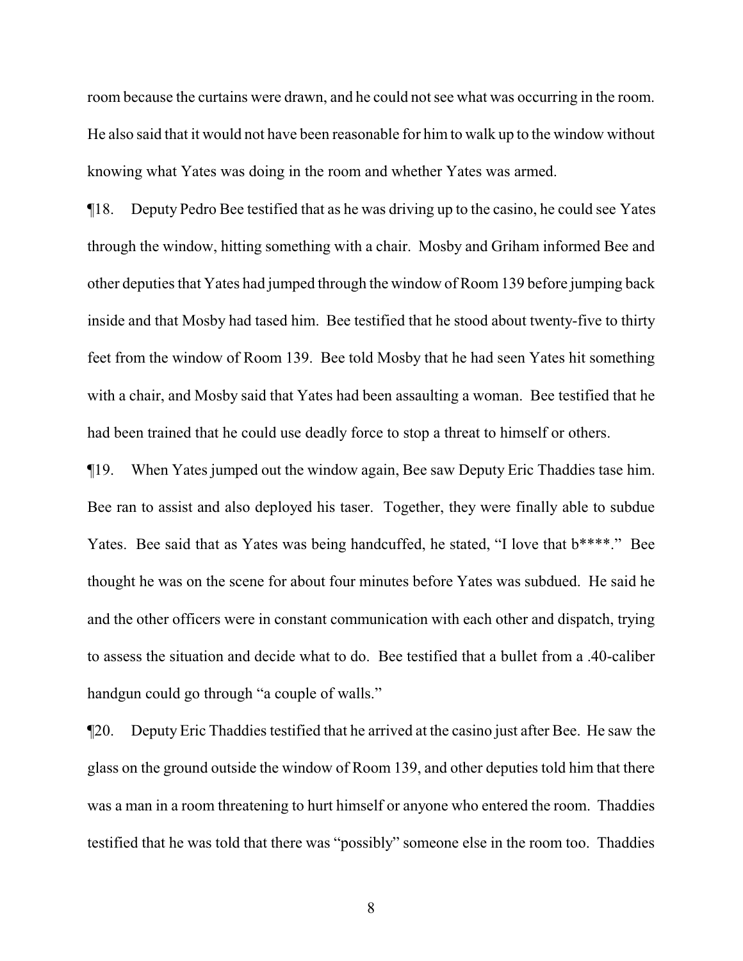room because the curtains were drawn, and he could not see what was occurring in the room. He also said that it would not have been reasonable for him to walk up to the window without knowing what Yates was doing in the room and whether Yates was armed.

¶18. Deputy Pedro Bee testified that as he was driving up to the casino, he could see Yates through the window, hitting something with a chair. Mosby and Griham informed Bee and other deputies that Yates had jumped through the window of Room 139 before jumping back inside and that Mosby had tased him. Bee testified that he stood about twenty-five to thirty feet from the window of Room 139. Bee told Mosby that he had seen Yates hit something with a chair, and Mosby said that Yates had been assaulting a woman. Bee testified that he had been trained that he could use deadly force to stop a threat to himself or others.

¶19. When Yates jumped out the window again, Bee saw Deputy Eric Thaddies tase him. Bee ran to assist and also deployed his taser. Together, they were finally able to subdue Yates. Bee said that as Yates was being handcuffed, he stated, "I love that  $b***$ "." Bee thought he was on the scene for about four minutes before Yates was subdued. He said he and the other officers were in constant communication with each other and dispatch, trying to assess the situation and decide what to do. Bee testified that a bullet from a .40-caliber handgun could go through "a couple of walls."

¶20. Deputy Eric Thaddies testified that he arrived at the casino just after Bee. He saw the glass on the ground outside the window of Room 139, and other deputies told him that there was a man in a room threatening to hurt himself or anyone who entered the room. Thaddies testified that he was told that there was "possibly" someone else in the room too. Thaddies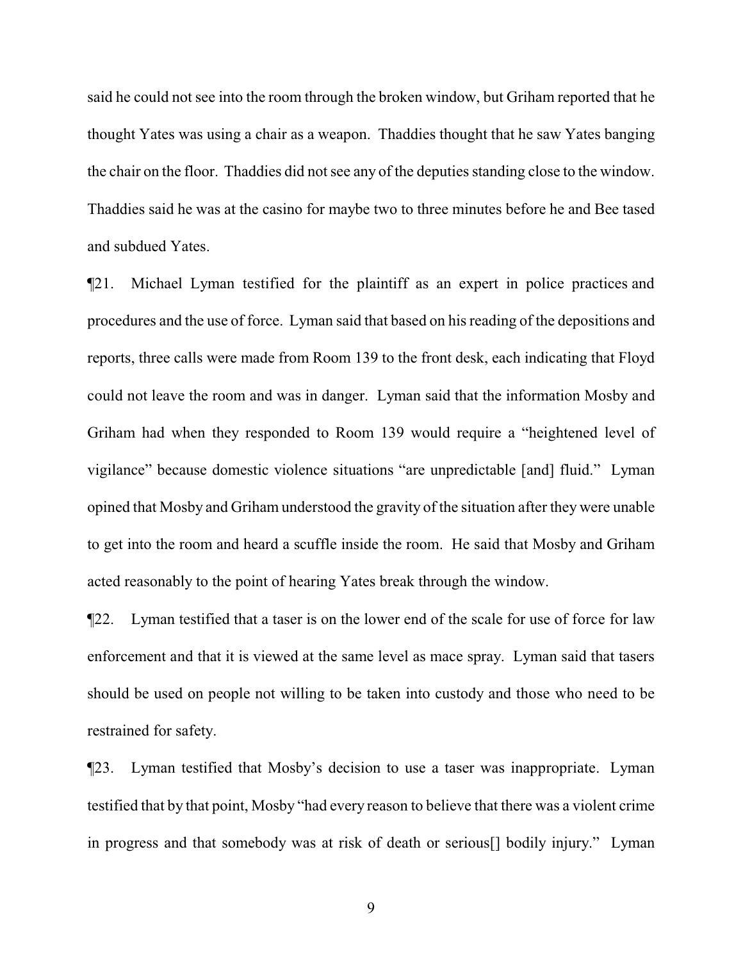said he could not see into the room through the broken window, but Griham reported that he thought Yates was using a chair as a weapon. Thaddies thought that he saw Yates banging the chair on the floor. Thaddies did not see any of the deputies standing close to the window. Thaddies said he was at the casino for maybe two to three minutes before he and Bee tased and subdued Yates.

¶21. Michael Lyman testified for the plaintiff as an expert in police practices and procedures and the use of force. Lyman said that based on his reading of the depositions and reports, three calls were made from Room 139 to the front desk, each indicating that Floyd could not leave the room and was in danger. Lyman said that the information Mosby and Griham had when they responded to Room 139 would require a "heightened level of vigilance" because domestic violence situations "are unpredictable [and] fluid." Lyman opined that Mosby and Griham understood the gravity of the situation after they were unable to get into the room and heard a scuffle inside the room. He said that Mosby and Griham acted reasonably to the point of hearing Yates break through the window.

¶22. Lyman testified that a taser is on the lower end of the scale for use of force for law enforcement and that it is viewed at the same level as mace spray. Lyman said that tasers should be used on people not willing to be taken into custody and those who need to be restrained for safety.

¶23. Lyman testified that Mosby's decision to use a taser was inappropriate. Lyman testified that by that point, Mosby "had every reason to believe that there was a violent crime in progress and that somebody was at risk of death or serious[] bodily injury." Lyman

9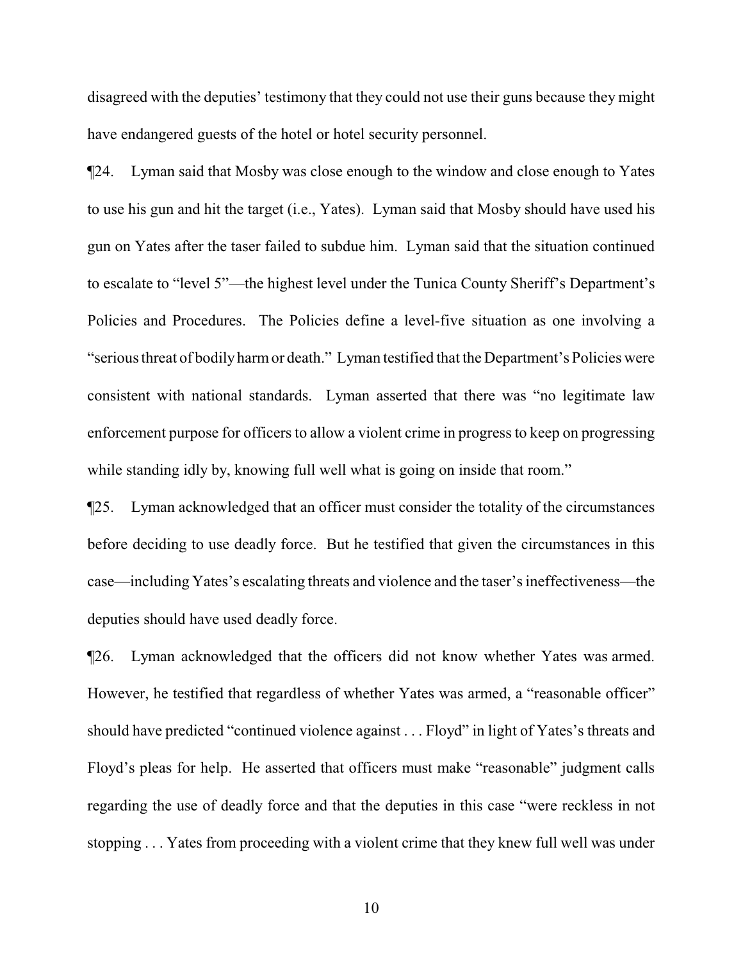disagreed with the deputies' testimony that they could not use their guns because they might have endangered guests of the hotel or hotel security personnel.

¶24. Lyman said that Mosby was close enough to the window and close enough to Yates to use his gun and hit the target (i.e., Yates). Lyman said that Mosby should have used his gun on Yates after the taser failed to subdue him. Lyman said that the situation continued to escalate to "level 5"—the highest level under the Tunica County Sheriff's Department's Policies and Procedures. The Policies define a level-five situation as one involving a "serious threat of bodilyharmor death." Lyman testified that the Department's Policies were consistent with national standards. Lyman asserted that there was "no legitimate law enforcement purpose for officers to allow a violent crime in progress to keep on progressing while standing idly by, knowing full well what is going on inside that room."

¶25. Lyman acknowledged that an officer must consider the totality of the circumstances before deciding to use deadly force. But he testified that given the circumstances in this case—including Yates's escalating threats and violence and the taser's ineffectiveness—the deputies should have used deadly force.

¶26. Lyman acknowledged that the officers did not know whether Yates was armed. However, he testified that regardless of whether Yates was armed, a "reasonable officer" should have predicted "continued violence against . . . Floyd" in light of Yates's threats and Floyd's pleas for help. He asserted that officers must make "reasonable" judgment calls regarding the use of deadly force and that the deputies in this case "were reckless in not stopping . . . Yates from proceeding with a violent crime that they knew full well was under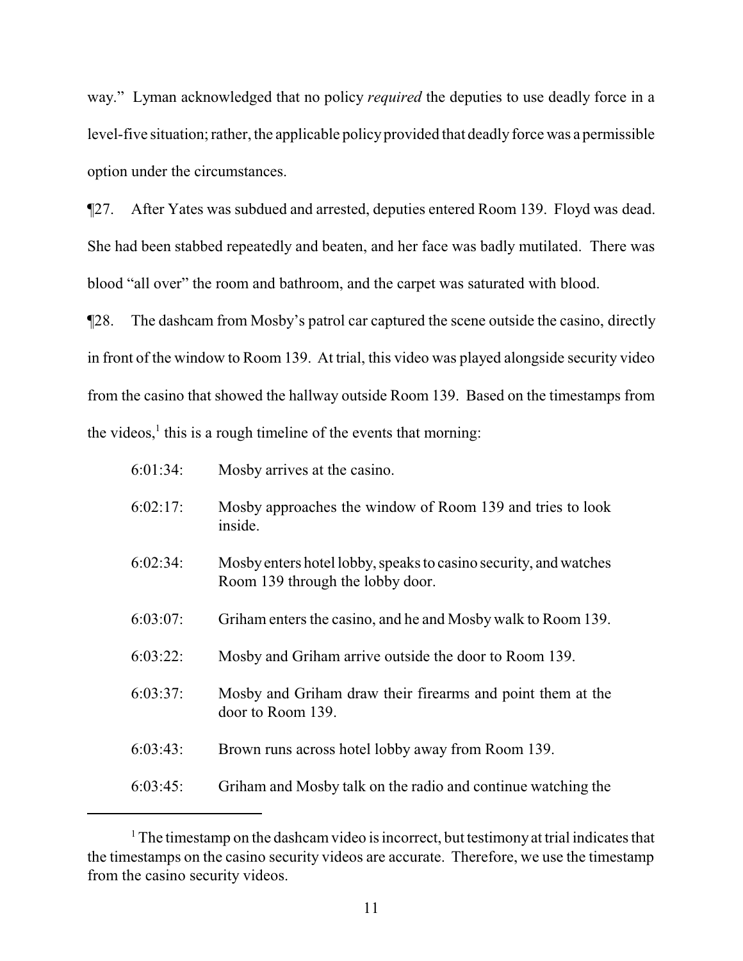way." Lyman acknowledged that no policy *required* the deputies to use deadly force in a level-five situation; rather, the applicable policyprovided that deadly force was a permissible option under the circumstances.

¶27. After Yates was subdued and arrested, deputies entered Room 139. Floyd was dead. She had been stabbed repeatedly and beaten, and her face was badly mutilated. There was blood "all over" the room and bathroom, and the carpet was saturated with blood.

¶28. The dashcam from Mosby's patrol car captured the scene outside the casino, directly in front of the window to Room 139. At trial, this video was played alongside security video from the casino that showed the hallway outside Room 139. Based on the timestamps from the videos, $<sup>1</sup>$  this is a rough timeline of the events that morning:</sup>

| $6:01:34$ : | Mosby arrives at the casino.                                                                         |
|-------------|------------------------------------------------------------------------------------------------------|
| 6:02:17:    | Mosby approaches the window of Room 139 and tries to look<br>inside.                                 |
| 6:02:34:    | Mosby enters hotel lobby, speaks to casino security, and watches<br>Room 139 through the lobby door. |
| $6:03:07$ : | Griham enters the casino, and he and Mosby walk to Room 139.                                         |
| 6:03:22:    | Mosby and Griham arrive outside the door to Room 139.                                                |
| 6:03:37:    | Mosby and Griham draw their firearms and point them at the<br>door to Room 139.                      |
| $6:03:43$ : | Brown runs across hotel lobby away from Room 139.                                                    |
| 6:03:45:    | Griham and Mosby talk on the radio and continue watching the                                         |

 $1$ . The timestamp on the dashcam video is incorrect, but testimony at trial indicates that the timestamps on the casino security videos are accurate. Therefore, we use the timestamp from the casino security videos.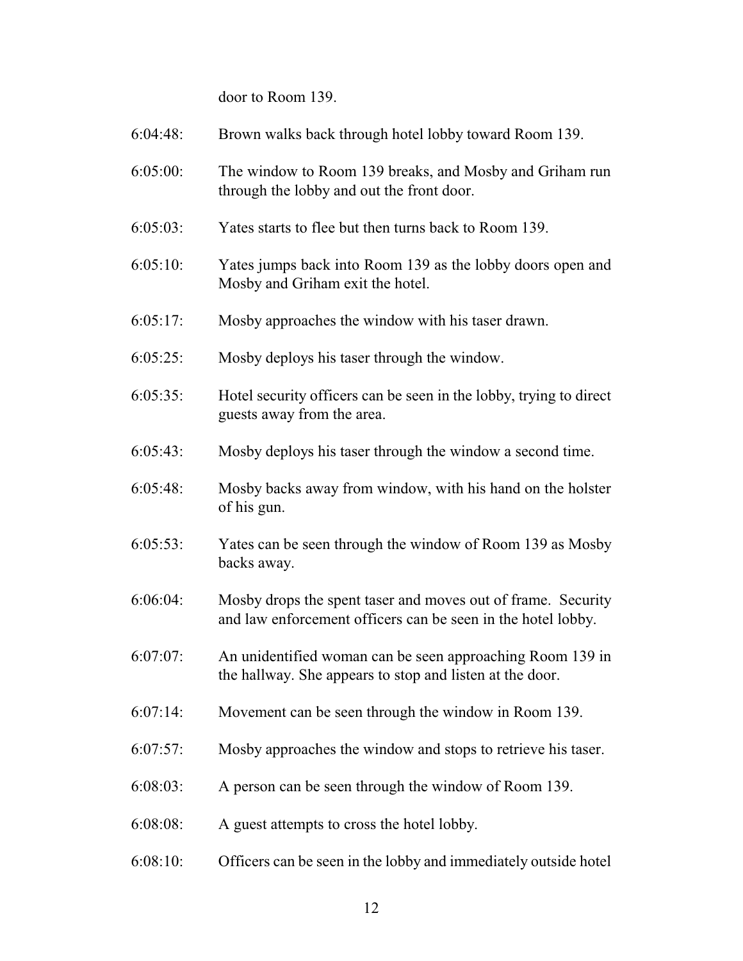door to Room 139.

| $6:04:48$ : | Brown walks back through hotel lobby toward Room 139.                                                                        |
|-------------|------------------------------------------------------------------------------------------------------------------------------|
| 6:05:00:    | The window to Room 139 breaks, and Mosby and Griham run<br>through the lobby and out the front door.                         |
| $6:05:03$ : | Yates starts to flee but then turns back to Room 139.                                                                        |
| 6:05:10:    | Yates jumps back into Room 139 as the lobby doors open and<br>Mosby and Griham exit the hotel.                               |
| 6:05:17:    | Mosby approaches the window with his taser drawn.                                                                            |
| $6:05:25$ : | Mosby deploys his taser through the window.                                                                                  |
| 6:05:35:    | Hotel security officers can be seen in the lobby, trying to direct<br>guests away from the area.                             |
| $6:05:43$ : | Mosby deploys his taser through the window a second time.                                                                    |
| $6:05:48$ : | Mosby backs away from window, with his hand on the holster<br>of his gun.                                                    |
| $6:05:53$ : | Yates can be seen through the window of Room 139 as Mosby<br>backs away.                                                     |
| 6:06:04:    | Mosby drops the spent taser and moves out of frame. Security<br>and law enforcement officers can be seen in the hotel lobby. |
| $6:07:07$ : | An unidentified woman can be seen approaching Room 139 in<br>the hallway. She appears to stop and listen at the door.        |
| $6:07:14$ : | Movement can be seen through the window in Room 139.                                                                         |
| $6:07:57$ : | Mosby approaches the window and stops to retrieve his taser.                                                                 |
| $6:08:03$ : | A person can be seen through the window of Room 139.                                                                         |
| 6:08:08:    | A guest attempts to cross the hotel lobby.                                                                                   |
| 6:08:10:    | Officers can be seen in the lobby and immediately outside hotel                                                              |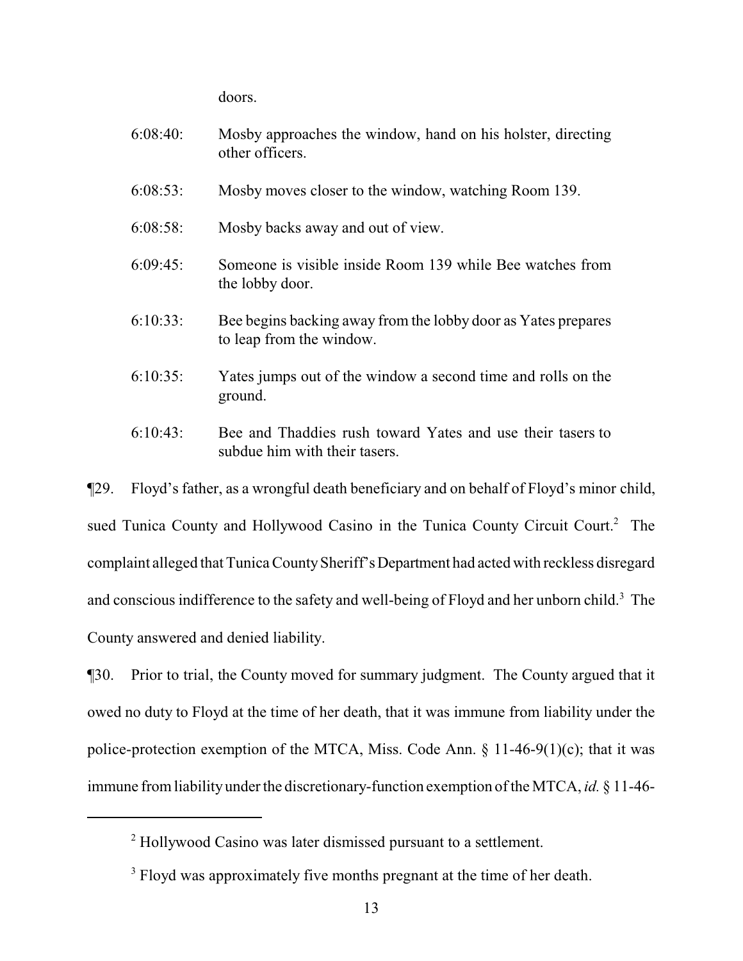doors.

| 6:08:40:    | Mosby approaches the window, hand on his holster, directing<br>other officers.            |
|-------------|-------------------------------------------------------------------------------------------|
| $6:08:53$ : | Mosby moves closer to the window, watching Room 139.                                      |
| $6:08:58$ : | Mosby backs away and out of view.                                                         |
| 6:09:45     | Someone is visible inside Room 139 while Bee watches from<br>the lobby door.              |
| $6:10:33$ : | Bee begins backing away from the lobby door as Yates prepares<br>to leap from the window. |
| $6:10:35$ : | Yates jumps out of the window a second time and rolls on the<br>ground.                   |
| $6:10:43$ : | Bee and Thaddies rush toward Yates and use their tasers to                                |

¶29. Floyd's father, as a wrongful death beneficiary and on behalf of Floyd's minor child, sued Tunica County and Hollywood Casino in the Tunica County Circuit Court.<sup>2</sup> The complaint alleged that Tunica CountySheriff'sDepartment had acted with reckless disregard and conscious indifference to the safety and well-being of Floyd and her unborn child.<sup>3</sup> The County answered and denied liability.

subdue him with their tasers.

¶30. Prior to trial, the County moved for summary judgment. The County argued that it owed no duty to Floyd at the time of her death, that it was immune from liability under the police-protection exemption of the MTCA, Miss. Code Ann.  $\S$  11-46-9(1)(c); that it was immune fromliabilityunder the discretionary-function exemption of the MTCA, *id.* § 11-46-

<sup>&</sup>lt;sup>2</sup> Hollywood Casino was later dismissed pursuant to a settlement.

<sup>&</sup>lt;sup>3</sup> Floyd was approximately five months pregnant at the time of her death.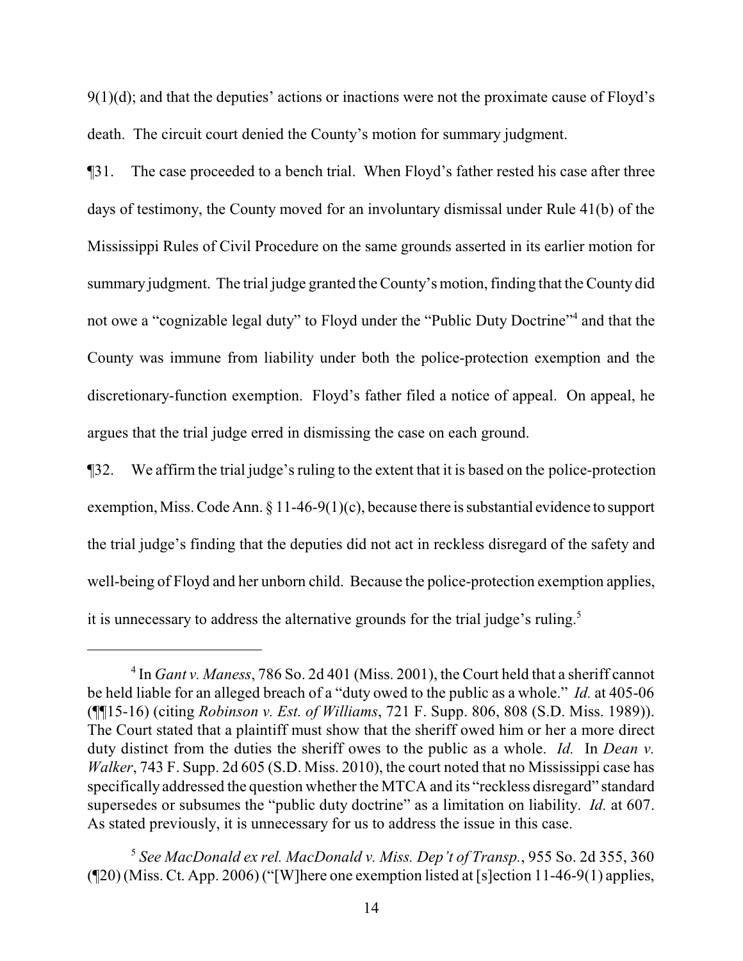$9(1)(d)$ ; and that the deputies' actions or inactions were not the proximate cause of Floyd's death. The circuit court denied the County's motion for summary judgment.

¶31. The case proceeded to a bench trial. When Floyd's father rested his case after three days of testimony, the County moved for an involuntary dismissal under Rule 41(b) of the Mississippi Rules of Civil Procedure on the same grounds asserted in its earlier motion for summary judgment. The trial judge granted the County's motion, finding that the County did not owe a "cognizable legal duty" to Floyd under the "Public Duty Doctrine"<sup>4</sup> and that the County was immune from liability under both the police-protection exemption and the discretionary-function exemption. Floyd's father filed a notice of appeal. On appeal, he argues that the trial judge erred in dismissing the case on each ground.

¶32. We affirm the trial judge's ruling to the extent that it is based on the police-protection exemption, Miss. Code Ann. § 11-46-9(1)(c), because there is substantial evidence to support the trial judge's finding that the deputies did not act in reckless disregard of the safety and well-being of Floyd and her unborn child. Because the police-protection exemption applies, it is unnecessary to address the alternative grounds for the trial judge's ruling.<sup>5</sup>

<sup>&</sup>lt;sup>4</sup> In *Gant v. Maness*, 786 So. 2d 401 (Miss. 2001), the Court held that a sheriff cannot be held liable for an alleged breach of a "duty owed to the public as a whole." *Id.* at 405-06 (¶¶15-16) (citing *Robinson v. Est. of Williams*, 721 F. Supp. 806, 808 (S.D. Miss. 1989)). The Court stated that a plaintiff must show that the sheriff owed him or her a more direct duty distinct from the duties the sheriff owes to the public as a whole. *Id.* In *Dean v. Walker*, 743 F. Supp. 2d 605 (S.D. Miss. 2010), the court noted that no Mississippi case has specifically addressed the question whether the MTCA and its "reckless disregard" standard supersedes or subsumes the "public duty doctrine" as a limitation on liability. *Id.* at 607. As stated previously, it is unnecessary for us to address the issue in this case.

<sup>5</sup> *See MacDonald ex rel. MacDonald v. Miss. Dep't of Transp.*, 955 So. 2d 355, 360 (¶20)(Miss. Ct. App. 2006) ("[W]here one exemption listed at [s]ection 11-46-9(1) applies,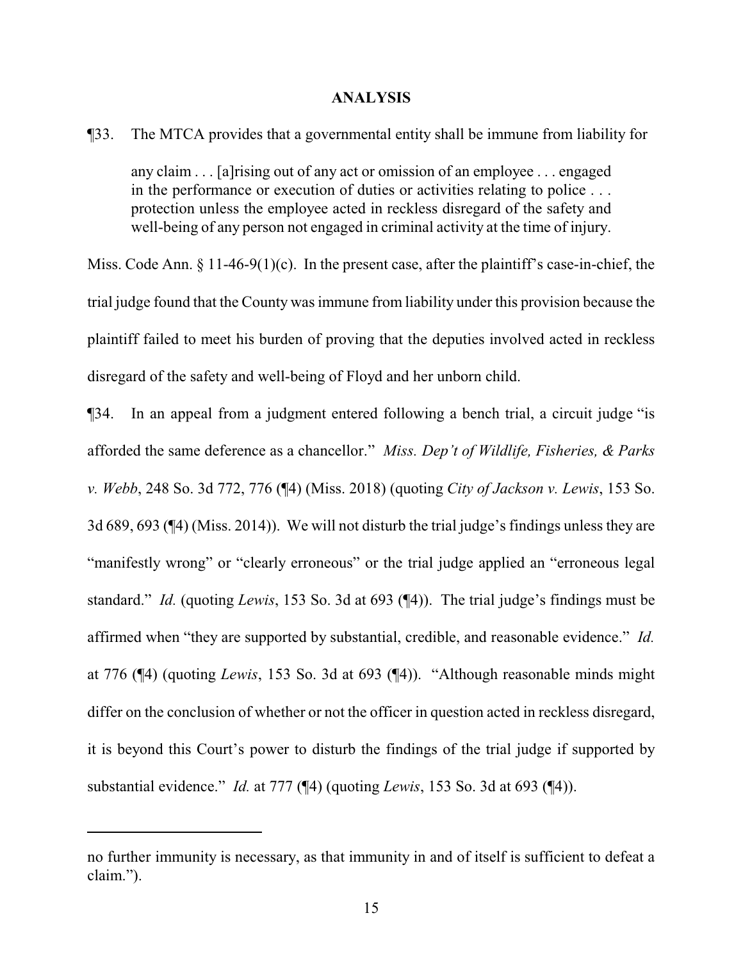#### **ANALYSIS**

¶33. The MTCA provides that a governmental entity shall be immune from liability for

any claim . . . [a]rising out of any act or omission of an employee . . . engaged in the performance or execution of duties or activities relating to police . . . protection unless the employee acted in reckless disregard of the safety and well-being of any person not engaged in criminal activity at the time of injury.

Miss. Code Ann.  $\S$  11-46-9(1)(c). In the present case, after the plaintiff's case-in-chief, the trial judge found that the County was immune from liability under this provision because the plaintiff failed to meet his burden of proving that the deputies involved acted in reckless disregard of the safety and well-being of Floyd and her unborn child.

¶34. In an appeal from a judgment entered following a bench trial, a circuit judge "is afforded the same deference as a chancellor." *Miss. Dep't of Wildlife, Fisheries, & Parks v. Webb*, 248 So. 3d 772, 776 (¶4) (Miss. 2018) (quoting *City of Jackson v. Lewis*, 153 So. 3d 689, 693 (¶4) (Miss. 2014)). We will not disturb the trial judge's findings unless they are "manifestly wrong" or "clearly erroneous" or the trial judge applied an "erroneous legal standard." *Id.* (quoting *Lewis*, 153 So. 3d at 693 (¶4)). The trial judge's findings must be affirmed when "they are supported by substantial, credible, and reasonable evidence." *Id.* at 776 (¶4) (quoting *Lewis*, 153 So. 3d at 693 (¶4)). "Although reasonable minds might differ on the conclusion of whether or not the officer in question acted in reckless disregard, it is beyond this Court's power to disturb the findings of the trial judge if supported by substantial evidence." *Id.* at 777 (¶4) (quoting *Lewis*, 153 So. 3d at 693 (¶4)).

no further immunity is necessary, as that immunity in and of itself is sufficient to defeat a claim.").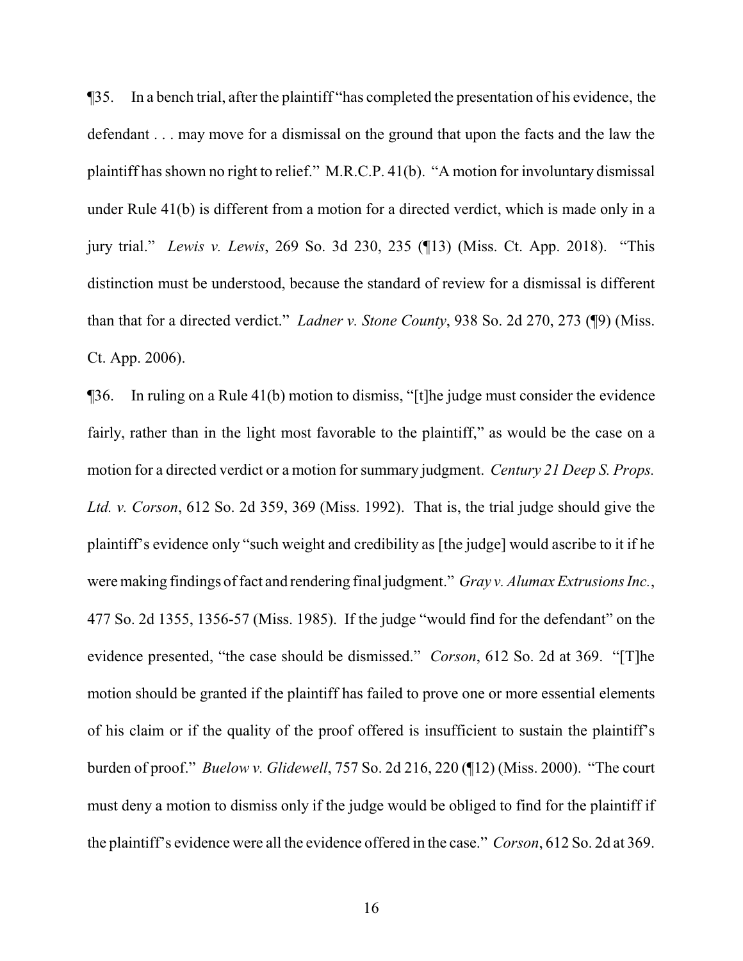¶35. In a bench trial, after the plaintiff "has completed the presentation of his evidence, the defendant . . . may move for a dismissal on the ground that upon the facts and the law the plaintiff has shown no right to relief." M.R.C.P. 41(b). "A motion for involuntary dismissal under Rule 41(b) is different from a motion for a directed verdict, which is made only in a jury trial." *Lewis v. Lewis*, 269 So. 3d 230, 235 (¶13) (Miss. Ct. App. 2018). "This distinction must be understood, because the standard of review for a dismissal is different than that for a directed verdict." *Ladner v. Stone County*, 938 So. 2d 270, 273 (¶9) (Miss. Ct. App. 2006).

¶36. In ruling on a Rule 41(b) motion to dismiss, "[t]he judge must consider the evidence fairly, rather than in the light most favorable to the plaintiff," as would be the case on a motion for a directed verdict or a motion for summary judgment. *Century 21 Deep S. Props. Ltd. v. Corson*, 612 So. 2d 359, 369 (Miss. 1992). That is, the trial judge should give the plaintiff's evidence only "such weight and credibility as [the judge] would ascribe to it if he were making findings of fact and rendering final judgment." *Gray v. Alumax Extrusions Inc.*, 477 So. 2d 1355, 1356-57 (Miss. 1985). If the judge "would find for the defendant" on the evidence presented, "the case should be dismissed." *Corson*, 612 So. 2d at 369. "[T]he motion should be granted if the plaintiff has failed to prove one or more essential elements of his claim or if the quality of the proof offered is insufficient to sustain the plaintiff's burden of proof." *Buelow v. Glidewell*, 757 So. 2d 216, 220 (¶12) (Miss. 2000). "The court must deny a motion to dismiss only if the judge would be obliged to find for the plaintiff if the plaintiff's evidence were all the evidence offered in the case." *Corson*, 612 So. 2d at 369.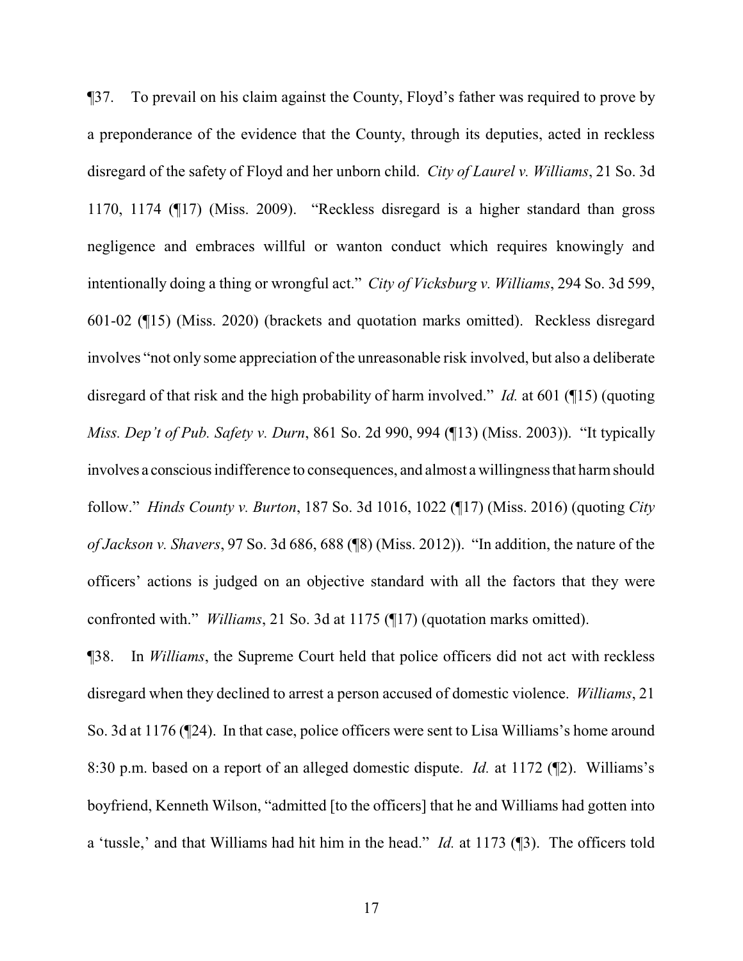¶37. To prevail on his claim against the County, Floyd's father was required to prove by a preponderance of the evidence that the County, through its deputies, acted in reckless disregard of the safety of Floyd and her unborn child. *City of Laurel v. Williams*, 21 So. 3d 1170, 1174 (¶17) (Miss. 2009). "Reckless disregard is a higher standard than gross negligence and embraces willful or wanton conduct which requires knowingly and intentionally doing a thing or wrongful act." *City of Vicksburg v. Williams*, 294 So. 3d 599, 601-02 (¶15) (Miss. 2020) (brackets and quotation marks omitted). Reckless disregard involves "not only some appreciation of the unreasonable risk involved, but also a deliberate disregard of that risk and the high probability of harm involved." *Id.* at 601 (¶15) (quoting *Miss. Dep't of Pub. Safety v. Durn*, 861 So. 2d 990, 994 (¶13) (Miss. 2003)). "It typically involves a conscious indifference to consequences, and almost a willingness that harmshould follow." *Hinds County v. Burton*, 187 So. 3d 1016, 1022 (¶17) (Miss. 2016) (quoting *City of Jackson v. Shavers*, 97 So. 3d 686, 688 (¶8) (Miss. 2012)). "In addition, the nature of the officers' actions is judged on an objective standard with all the factors that they were confronted with." *Williams*, 21 So. 3d at 1175 (¶17) (quotation marks omitted).

¶38. In *Williams*, the Supreme Court held that police officers did not act with reckless disregard when they declined to arrest a person accused of domestic violence. *Williams*, 21 So. 3d at 1176 (¶24). In that case, police officers were sent to Lisa Williams's home around 8:30 p.m. based on a report of an alleged domestic dispute. *Id.* at 1172 (¶2). Williams's boyfriend, Kenneth Wilson, "admitted [to the officers] that he and Williams had gotten into a 'tussle,' and that Williams had hit him in the head." *Id.* at 1173 (¶3). The officers told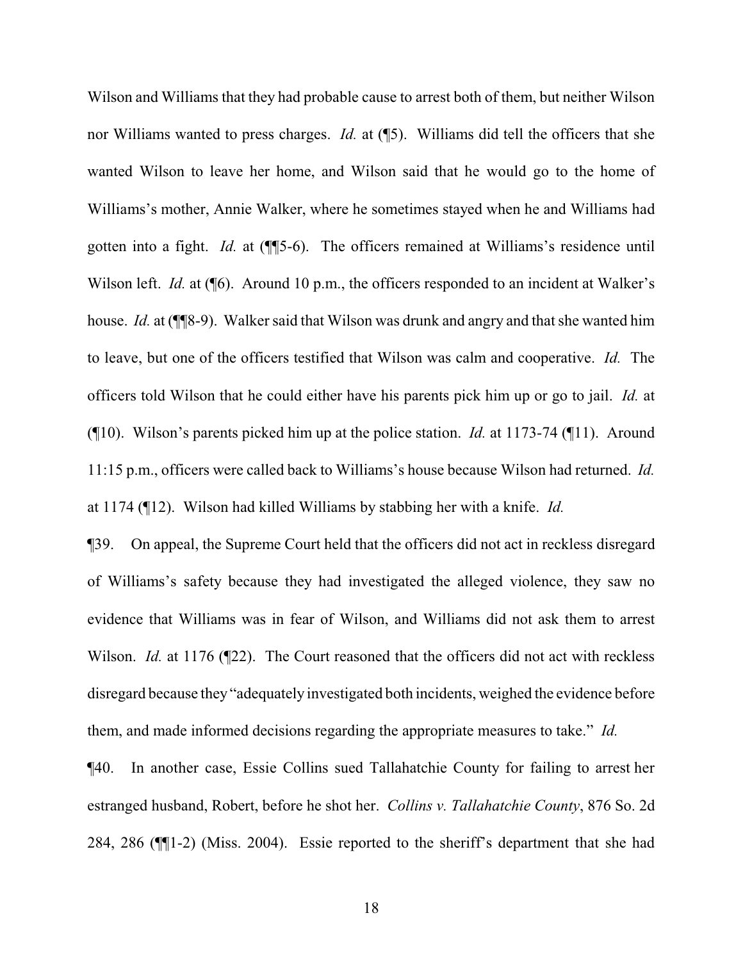Wilson and Williams that they had probable cause to arrest both of them, but neither Wilson nor Williams wanted to press charges. *Id.* at (¶5). Williams did tell the officers that she wanted Wilson to leave her home, and Wilson said that he would go to the home of Williams's mother, Annie Walker, where he sometimes stayed when he and Williams had gotten into a fight. *Id.* at (¶¶5-6). The officers remained at Williams's residence until Wilson left. *Id.* at (<sup> $\text{I}$ 6). Around 10 p.m., the officers responded to an incident at Walker's</sup> house. *Id.* at (¶¶8-9). Walker said that Wilson was drunk and angry and that she wanted him to leave, but one of the officers testified that Wilson was calm and cooperative. *Id.* The officers told Wilson that he could either have his parents pick him up or go to jail. *Id.* at (¶10). Wilson's parents picked him up at the police station. *Id.* at 1173-74 (¶11). Around 11:15 p.m., officers were called back to Williams's house because Wilson had returned. *Id.* at 1174 (¶12). Wilson had killed Williams by stabbing her with a knife. *Id.*

¶39. On appeal, the Supreme Court held that the officers did not act in reckless disregard of Williams's safety because they had investigated the alleged violence, they saw no evidence that Williams was in fear of Wilson, and Williams did not ask them to arrest Wilson. *Id.* at 1176 (¶22). The Court reasoned that the officers did not act with reckless disregard because they "adequately investigated both incidents, weighed the evidence before them, and made informed decisions regarding the appropriate measures to take." *Id.*

¶40. In another case, Essie Collins sued Tallahatchie County for failing to arrest her estranged husband, Robert, before he shot her. *Collins v. Tallahatchie County*, 876 So. 2d 284, 286 (¶¶1-2) (Miss. 2004). Essie reported to the sheriff's department that she had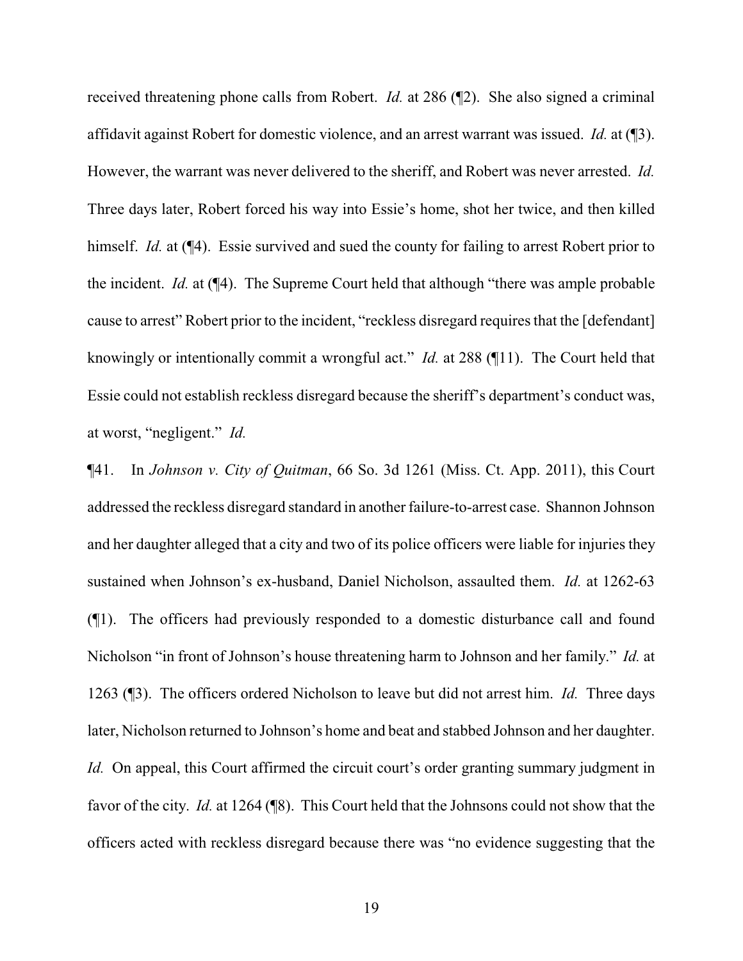received threatening phone calls from Robert. *Id.* at 286 (¶2). She also signed a criminal affidavit against Robert for domestic violence, and an arrest warrant was issued. *Id.* at (¶3). However, the warrant was never delivered to the sheriff, and Robert was never arrested. *Id.* Three days later, Robert forced his way into Essie's home, shot her twice, and then killed himself. *Id.* at ( $\P$ 4). Essie survived and sued the county for failing to arrest Robert prior to the incident. *Id.* at (¶4). The Supreme Court held that although "there was ample probable cause to arrest" Robert prior to the incident, "reckless disregard requires that the [defendant] knowingly or intentionally commit a wrongful act." *Id.* at 288 (¶11). The Court held that Essie could not establish reckless disregard because the sheriff's department's conduct was, at worst, "negligent." *Id.*

¶41. In *Johnson v. City of Quitman*, 66 So. 3d 1261 (Miss. Ct. App. 2011), this Court addressed the reckless disregard standard in another failure-to-arrest case. Shannon Johnson and her daughter alleged that a city and two of its police officers were liable for injuries they sustained when Johnson's ex-husband, Daniel Nicholson, assaulted them. *Id.* at 1262-63 (¶1). The officers had previously responded to a domestic disturbance call and found Nicholson "in front of Johnson's house threatening harm to Johnson and her family." *Id.* at 1263 (¶3). The officers ordered Nicholson to leave but did not arrest him. *Id.* Three days later, Nicholson returned to Johnson's home and beat and stabbed Johnson and her daughter. *Id.* On appeal, this Court affirmed the circuit court's order granting summary judgment in favor of the city. *Id.* at 1264 (¶8). This Court held that the Johnsons could not show that the officers acted with reckless disregard because there was "no evidence suggesting that the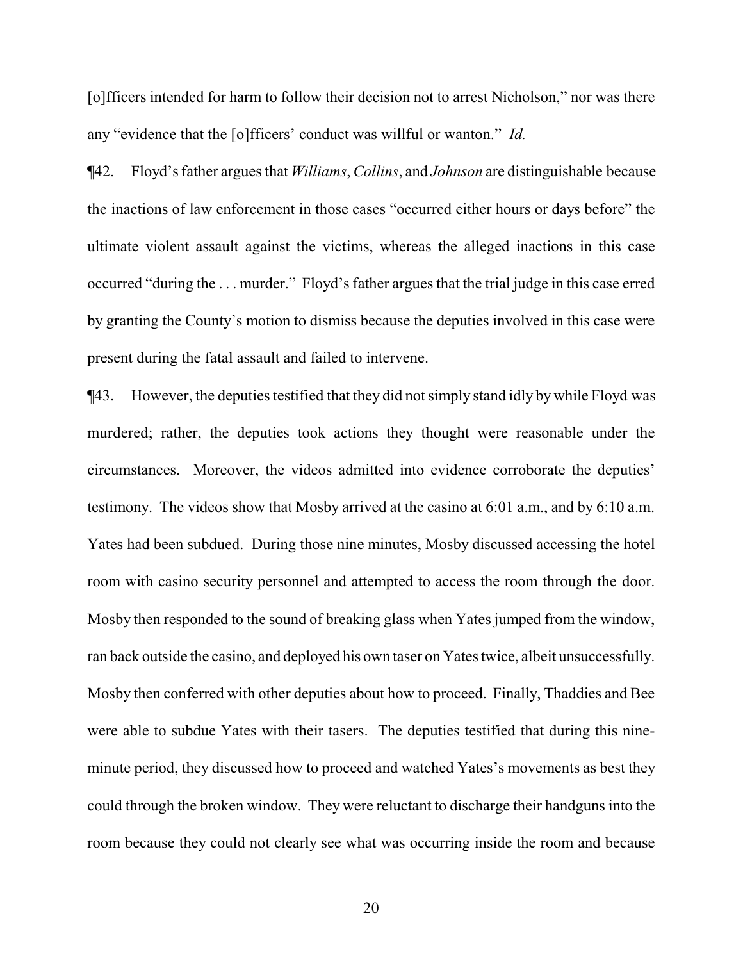[o]fficers intended for harm to follow their decision not to arrest Nicholson," nor was there any "evidence that the [o]fficers' conduct was willful or wanton." *Id.*

¶42. Floyd's father argues that *Williams*, *Collins*, and *Johnson* are distinguishable because the inactions of law enforcement in those cases "occurred either hours or days before" the ultimate violent assault against the victims, whereas the alleged inactions in this case occurred "during the . . . murder." Floyd's father argues that the trial judge in this case erred by granting the County's motion to dismiss because the deputies involved in this case were present during the fatal assault and failed to intervene.

¶43. However, the deputies testified that they did not simply stand idly by while Floyd was murdered; rather, the deputies took actions they thought were reasonable under the circumstances. Moreover, the videos admitted into evidence corroborate the deputies' testimony. The videos show that Mosby arrived at the casino at 6:01 a.m., and by 6:10 a.m. Yates had been subdued. During those nine minutes, Mosby discussed accessing the hotel room with casino security personnel and attempted to access the room through the door. Mosby then responded to the sound of breaking glass when Yates jumped from the window, ran back outside the casino, and deployed his own taser on Yates twice, albeit unsuccessfully. Mosby then conferred with other deputies about how to proceed. Finally, Thaddies and Bee were able to subdue Yates with their tasers. The deputies testified that during this nineminute period, they discussed how to proceed and watched Yates's movements as best they could through the broken window. They were reluctant to discharge their handguns into the room because they could not clearly see what was occurring inside the room and because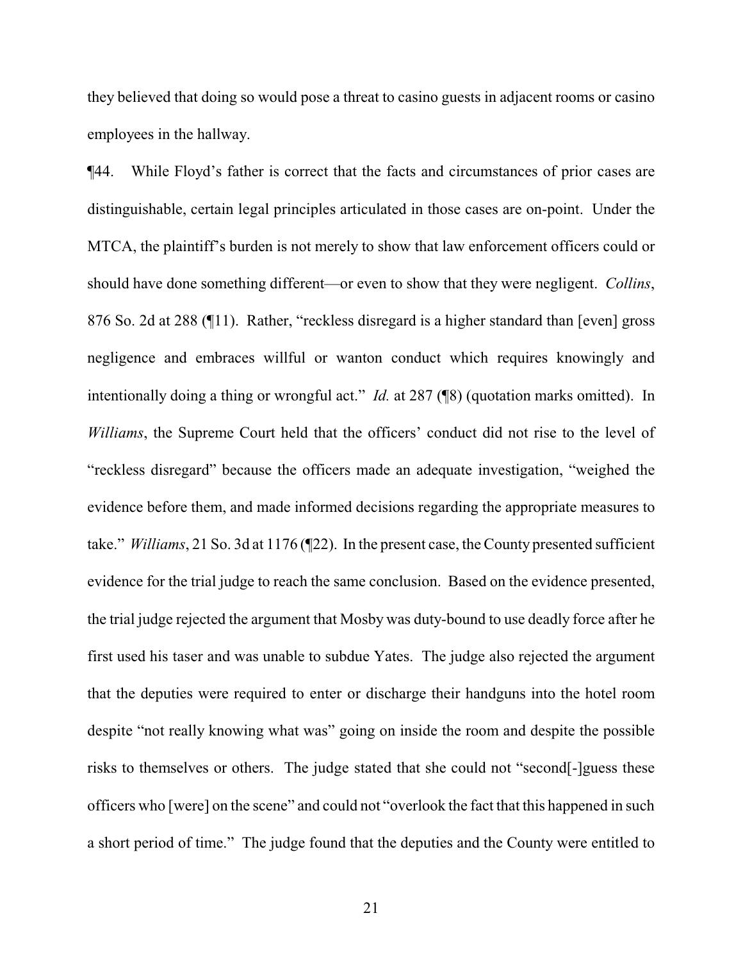they believed that doing so would pose a threat to casino guests in adjacent rooms or casino employees in the hallway.

¶44. While Floyd's father is correct that the facts and circumstances of prior cases are distinguishable, certain legal principles articulated in those cases are on-point. Under the MTCA, the plaintiff's burden is not merely to show that law enforcement officers could or should have done something different—or even to show that they were negligent. *Collins*, 876 So. 2d at 288 (¶11). Rather, "reckless disregard is a higher standard than [even] gross negligence and embraces willful or wanton conduct which requires knowingly and intentionally doing a thing or wrongful act." *Id.* at 287 (¶8) (quotation marks omitted). In *Williams*, the Supreme Court held that the officers' conduct did not rise to the level of "reckless disregard" because the officers made an adequate investigation, "weighed the evidence before them, and made informed decisions regarding the appropriate measures to take." *Williams*, 21 So. 3d at 1176 (¶22). In the present case, the County presented sufficient evidence for the trial judge to reach the same conclusion. Based on the evidence presented, the trial judge rejected the argument that Mosby was duty-bound to use deadly force after he first used his taser and was unable to subdue Yates. The judge also rejected the argument that the deputies were required to enter or discharge their handguns into the hotel room despite "not really knowing what was" going on inside the room and despite the possible risks to themselves or others. The judge stated that she could not "second[-]guess these officers who [were] on the scene" and could not "overlook the fact that this happened in such a short period of time." The judge found that the deputies and the County were entitled to